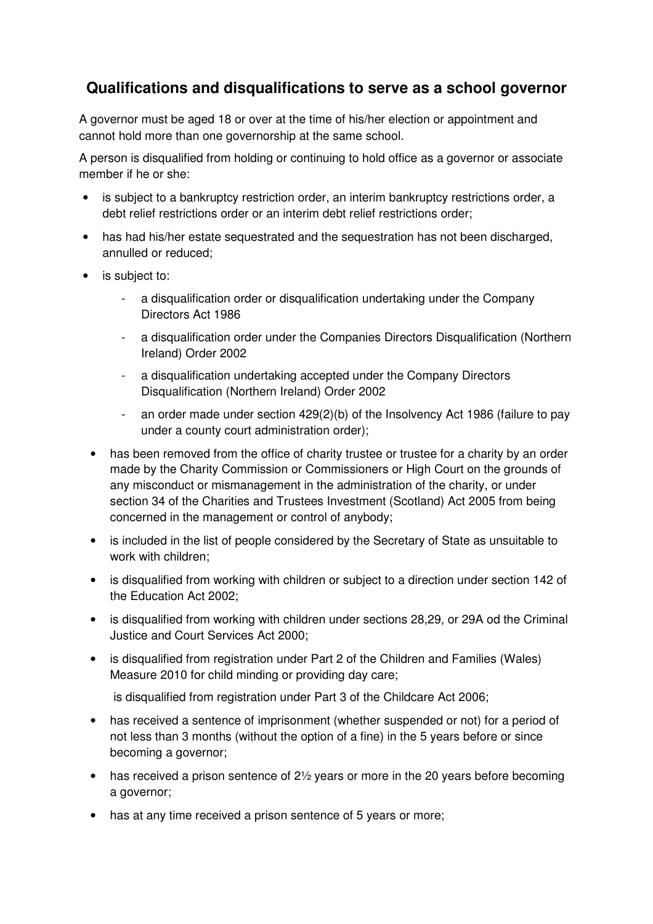## **Qualifications and disqualifications to serve as a school governor**

A governor must be aged 18 or over at the time of his/her election or appointment and cannot hold more than one governorship at the same school.

A person is disqualified from holding or continuing to hold office as a governor or associate member if he or she:

- is subject to a bankruptcy restriction order, an interim bankruptcy restrictions order, a debt relief restrictions order or an interim debt relief restrictions order;
- has had his/her estate sequestrated and the sequestration has not been discharged, annulled or reduced;
- is subject to:
	- a disqualification order or disqualification undertaking under the Company Directors Act 1986
	- a disqualification order under the Companies Directors Disqualification (Northern Ireland) Order 2002
	- a disqualification undertaking accepted under the Company Directors Disqualification (Northern Ireland) Order 2002
	- an order made under section 429(2)(b) of the Insolvency Act 1986 (failure to pay under a county court administration order);
	- has been removed from the office of charity trustee or trustee for a charity by an order made by the Charity Commission or Commissioners or High Court on the grounds of any misconduct or mismanagement in the administration of the charity, or under section 34 of the Charities and Trustees Investment (Scotland) Act 2005 from being concerned in the management or control of anybody;
	- is included in the list of people considered by the Secretary of State as unsuitable to work with children;
	- is disqualified from working with children or subject to a direction under section 142 of the Education Act 2002;
	- is disqualified from working with children under sections 28,29, or 29A od the Criminal Justice and Court Services Act 2000;
	- is disqualified from registration under Part 2 of the Children and Families (Wales) Measure 2010 for child minding or providing day care;

is disqualified from registration under Part 3 of the Childcare Act 2006;

- has received a sentence of imprisonment (whether suspended or not) for a period of not less than 3 months (without the option of a fine) in the 5 years before or since becoming a governor;
- has received a prison sentence of  $2\frac{1}{2}$  years or more in the 20 years before becoming a governor;
- has at any time received a prison sentence of 5 years or more;